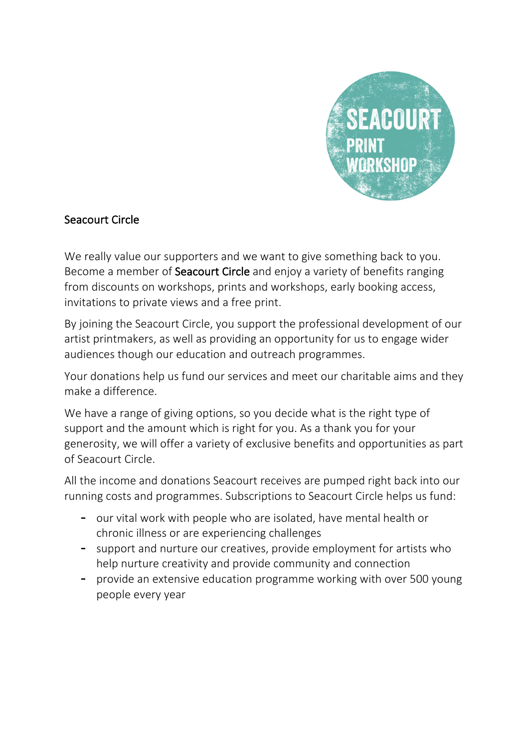

## Seacourt Circle

We really value our supporters and we want to give something back to you. Become a member of **Seacourt Circle** and enjoy a variety of benefits ranging from discounts on workshops, prints and workshops, early booking access, invitations to private views and a free print.

By joining the Seacourt Circle, you support the professional development of our artist printmakers, as well as providing an opportunity for us to engage wider audiences though our education and outreach programmes.

Your donations help us fund our services and meet our charitable aims and they make a difference.

We have a range of giving options, so you decide what is the right type of support and the amount which is right for you. As a thank you for your generosity, we will offer a variety of exclusive benefits and opportunities as part of Seacourt Circle.

All the income and donations Seacourt receives are pumped right back into our running costs and programmes. Subscriptions to Seacourt Circle helps us fund:

- our vital work with people who are isolated, have mental health or chronic illness or are experiencing challenges
- support and nurture our creatives, provide employment for artists who help nurture creativity and provide community and connection
- provide an extensive education programme working with over 500 young people every year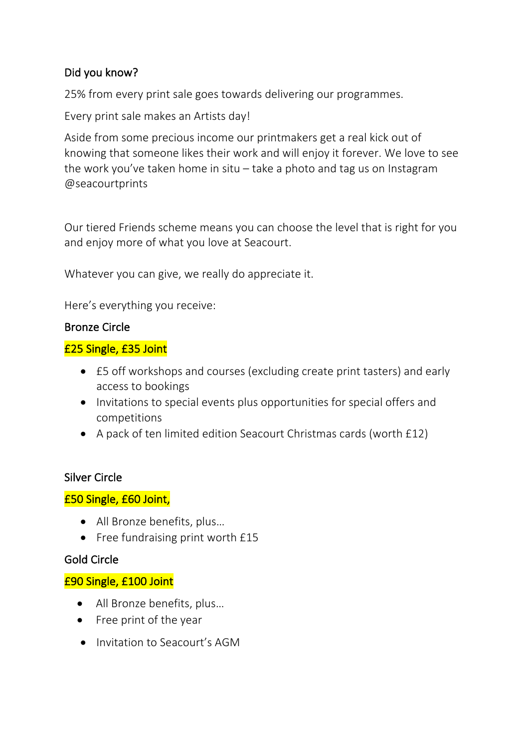# Did you know?

25% from every print sale goes towards delivering our programmes.

Every print sale makes an Artists day!

Aside from some precious income our printmakers get a real kick out of knowing that someone likes their work and will enjoy it forever. We love to see the work you've taken home in situ – take a photo and tag us on Instagram @seacourtprints

Our tiered Friends scheme means you can choose the level that is right for you and enjoy more of what you love at Seacourt.

Whatever you can give, we really do appreciate it.

Here's everything you receive:

#### Bronze Circle

#### £25 Single, £35 Joint

- £5 off workshops and courses (excluding create print tasters) and early access to bookings
- Invitations to special events plus opportunities for special offers and competitions
- A pack of ten limited edition Seacourt Christmas cards (worth £12)

## Silver Circle

## £50 Single, £60 Joint,

- All Bronze benefits, plus…
- Free fundraising print worth £15

#### Gold Circle

## £90 Single, £100 Joint

- All Bronze benefits, plus…
- Free print of the year
- Invitation to Seacourt's AGM